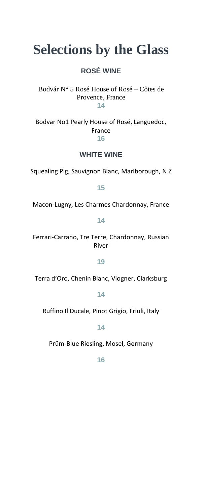# **Selections by the Glass**

### **ROSÉ WINE**

Bodvár N° 5 Rosé House of Rosé – Côtes de Provence, France **14**

Bodvar No1 Pearly House of Rosé, Languedoc, France

**16**

### **WHITE WINE**

Squealing Pig, Sauvignon Blanc, Marlborough, N Z

**15**

Macon-Lugny, Les Charmes Chardonnay, France

**14**

Ferrari-Carrano, Tre Terre, Chardonnay, Russian River

**19**

Terra d'Oro, Chenin Blanc, Viogner, Clarksburg

#### **14**

Ruffino Il Ducale, Pinot Grigio, Friuli, Italy

**14**

Prüm-Blue Riesling, Mosel, Germany

**16**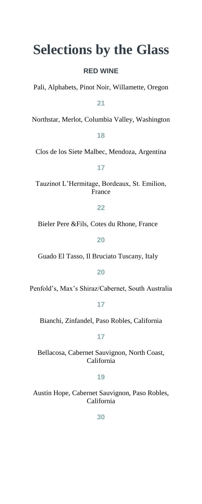## **Selections by the Glass**

#### **RED WINE**

Pali, Alphabets, Pinot Noir, Willamette, Oregon

**21** 

Northstar, Merlot, Columbia Valley, Washington

#### **18**

Clos de los Siete Malbec, Mendoza, Argentina

**17** 

Tauzinot L'Hermitage, Bordeaux, St. Emilion, France

#### **22**

Bieler Pere &Fils, Cotes du Rhone, France

**20**

Guado El Tasso, Il Bruciato Tuscany, Italy

#### **20**

Penfold's, Max's Shiraz/Cabernet, South Australia

#### **17**

Bianchi, Zinfandel, Paso Robles, California

#### **17**

Bellacosa, Cabernet Sauvignon, North Coast, California

#### **19**

Austin Hope, Cabernet Sauvignon, Paso Robles, California

**30**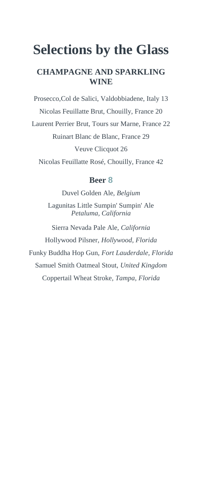# **Selections by the Glass**

### **CHAMPAGNE AND SPARKLING WINE**

Prosecco,Col de Salici, Valdobbiadene, Italy 13 Nicolas Feuillatte Brut, Chouilly, France 20 Laurent Perrier Brut, Tours sur Marne, France 22 Ruinart Blanc de Blanc, France 29 Veuve Clicquot 26 Nicolas Feuillatte Rosé, Chouilly, France 42

#### **Beer 8**

Duvel Golden Ale, *Belgium*

Lagunitas Little Sumpin' Sumpin' Ale *Petaluma, California*

Sierra Nevada Pale Ale, *California* Hollywood Pilsner, *Hollywood, Florida* Funky Buddha Hop Gun, *Fort Lauderdale, Florida* Samuel Smith Oatmeal Stout, *United Kingdom* Coppertail Wheat Stroke, *Tampa, Florida*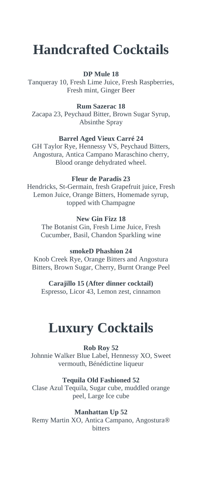# **Handcrafted Cocktails**

#### **DP Mule 18**

Tanqueray 10, Fresh Lime Juice, Fresh Raspberries, Fresh mint, Ginger Beer

#### **Rum Sazerac 18**

Zacapa 23, Peychaud Bitter, Brown Sugar Syrup, Absinthe Spray

#### **Barrel Aged Vieux Carré 24**

GH Taylor Rye, Hennessy VS, Peychaud Bitters, Angostura, Antica Campano Maraschino cherry, Blood orange dehydrated wheel.

#### **Fleur de Paradis 23**

Hendricks, St-Germain, fresh Grapefruit juice, Fresh Lemon Juice, Orange Bitters, Homemade syrup, topped with Champagne

#### **New Gin Fizz 18**

The Botanist Gin, Fresh Lime Juice, Fresh Cucumber, Basil, Chandon Sparkling wine

#### **smokeD Phashion 24**

Knob Creek Rye, Orange Bitters and Angostura Bitters, Brown Sugar, Cherry, Burnt Orange Peel

#### **Carajillo 15 (After dinner cocktail)** Espresso, Licor 43, Lemon zest, cinnamon

### **Luxury Cocktails**

#### **Rob Roy 52**

Johnnie Walker Blue Label, Hennessy XO, Sweet vermouth, Bénédictine liqueur

#### **Tequila Old Fashioned 52**

Clase Azul Tequila, Sugar cube, muddled orange peel, Large Ice cube

#### **Manhattan Up 52**

Remy Martin XO, Antica Campano, Angostura® bitters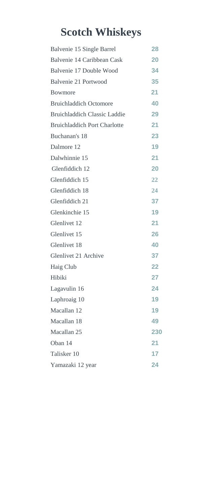# **Scotch Whiskeys**

| Balvenie 15 Single Barrel           | 28  |
|-------------------------------------|-----|
| Balvenie 14 Caribbean Cask          | 20  |
| Balvenie 17 Double Wood             | 34  |
| Balvenie 21 Portwood                | 35  |
| <b>Bowmore</b>                      | 21  |
| <b>Bruichladdich Octomore</b>       | 40  |
| <b>Bruichladdich Classic Laddie</b> | 29  |
| <b>Bruichladdich Port Charlotte</b> | 21  |
| Buchanan's 18                       | 23  |
| Dalmore 12                          | 19  |
| Dalwhinnie 15                       | 21  |
| Glenfiddich 12                      | 20  |
| Glenfiddich 15                      | 22  |
| Glenfiddich 18                      | 24  |
| Glenfiddich 21                      | 37  |
| Glenkinchie 15                      | 19  |
| Glenlivet 12                        | 21  |
| Glenlivet 15                        | 26  |
| Glenlivet 18                        | 40  |
| Glenlivet 21 Archive                | 37  |
| Haig Club                           | 22  |
| Hibiki                              | 27  |
| Lagavulin 16                        | 24  |
| Laphroaig 10                        | 19  |
| Macallan 12                         | 19  |
| Macallan 18                         | 49  |
| Macallan 25                         | 230 |
| Oban 14                             | 21  |
| Talisker 10                         | 17  |
| Yamazaki 12 year                    | 24  |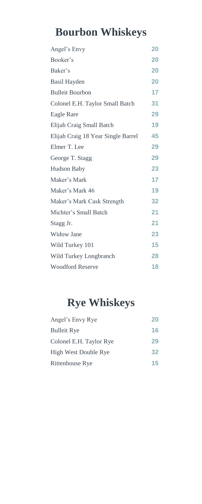# **Bourbon Whiskeys**

| Angel's Envy                       | 20 |
|------------------------------------|----|
| Booker's                           | 20 |
| Baker's                            | 20 |
| Basil Hayden                       | 20 |
| <b>Bulleit Bourbon</b>             | 17 |
| Colonel E.H. Taylor Small Batch    | 31 |
| Eagle Rare                         | 29 |
| Elijah Craig Small Batch           | 19 |
| Elijah Craig 18 Year Single Barrel | 45 |
| Elmer T. Lee                       | 29 |
| George T. Stagg                    | 29 |
| Hudson Baby                        | 23 |
| Maker's Mark                       | 17 |
| Maker's Mark 46                    | 19 |
| Maker's Mark Cask Strength         | 32 |
| Michter's Small Batch              | 21 |
| Stagg Jr.                          | 21 |
| Widow Jane                         | 23 |
| Wild Turkey 101                    | 15 |
| Wild Turkey Longbranch             | 28 |
| <b>Woodford Reserve</b>            | 18 |

## **Rye Whiskeys**

| Angel's Envy Rye            | 20 |
|-----------------------------|----|
| <b>Bulleit Rye</b>          | 16 |
| Colonel E.H. Taylor Rye     | 29 |
| <b>High West Double Rye</b> | 32 |
| <b>Rittenhouse Rye</b>      | 15 |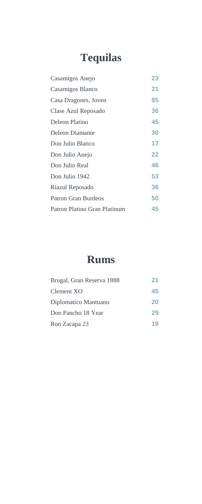# **Tequilas**

| Casamigos Anejo              | 23 |
|------------------------------|----|
| Casamigos Blanco             | 21 |
| Casa Dragones, Joven         | 85 |
| Clase Azul Reposado          | 36 |
| Deleon Platino               | 45 |
| Deleon Diamante              | 30 |
| Don Julio Blanco             | 17 |
| Don Julio Anejo              | 22 |
| Don Julio Real               | 46 |
| Don Julio 1942               | 53 |
| Riazul Reposado              | 36 |
| <b>Patron Gran Burdeos</b>   | 50 |
| Patron Platino Gran Platinum | 45 |

### **Rums**

| Brugal, Gran Reserva 1888 | 21 |
|---------------------------|----|
| Clement XO                | 45 |
| Diplomatico Mantuano      | 20 |
| Don Pancho 18 Year        | 29 |
| Ron Zacapa 23             | 19 |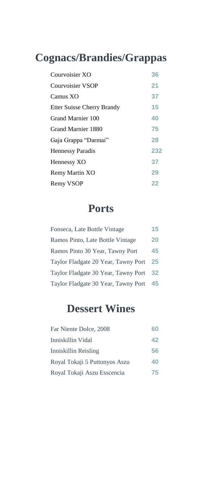# **Cognacs/Brandies/Grappas**

| Courvoisier XO                    | 36  |
|-----------------------------------|-----|
| Courvoisier VSOP                  | 21  |
| Camus XO                          | 37  |
| <b>Etter Suisse Cherry Brandy</b> | 15  |
| Grand Marnier 100                 | 40  |
| Grand Marnier 1880                | 75  |
| Gaja Grappa "Darmai"              | 28  |
| <b>Hennessy Paradis</b>           | 232 |
| Hennessy XO                       | 37  |
| Remy Martin XO                    | 29  |
| Remy VSOP                         | 22  |

### **Ports**

| Fonseca, Late Bottle Vintage        | 15 |
|-------------------------------------|----|
| Ramos Pinto, Late Bottle Vintage    | 20 |
| Ramos Pinto 30 Year, Tawny Port     | 45 |
| Taylor Fladgate 20 Year, Tawny Port | 25 |
| Taylor Fladgate 30 Year, Tawny Port | 32 |
| Taylor Fladgate 30 Year, Tawny Port | 45 |

### **Dessert Wines**

| Far Niente Dolce, 2008        | 60 |
|-------------------------------|----|
| Inniskillin Vidal             | 42 |
| Inniskillin Reisling          | 56 |
| Royal Tokaji 5 Puttonyos Aszu | 40 |
| Royal Tokaji Aszu Esscencia   | 75 |